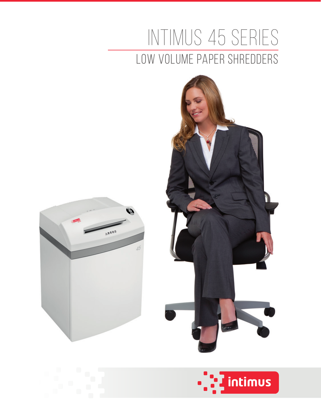## intimus 45 Series Low Volume Paper Shredders